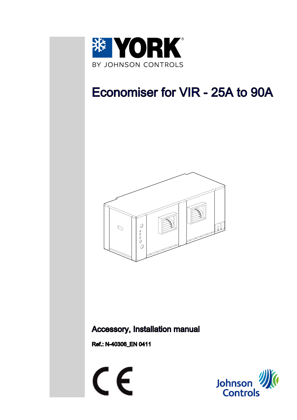

## Economiser for VIR - 25A to 90A



### **Accessory, Installation manual**

Ref.: N-40306\_EN 0411



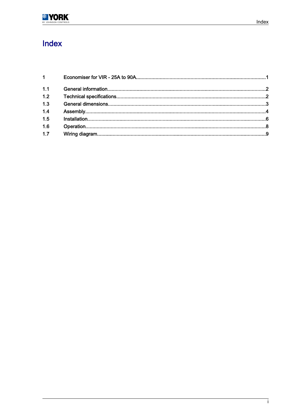

### Index

| $1 \quad \blacksquare$ |  |
|------------------------|--|
| 1.1                    |  |
| 1.2                    |  |
| 1.3                    |  |
| 1.4                    |  |
| 1.5                    |  |
| 1.6                    |  |
| 1.7                    |  |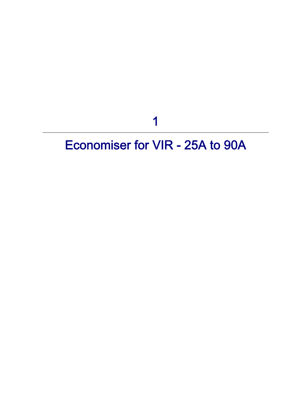1

# <span id="page-2-0"></span>Economiser for VIR - 25A to 90A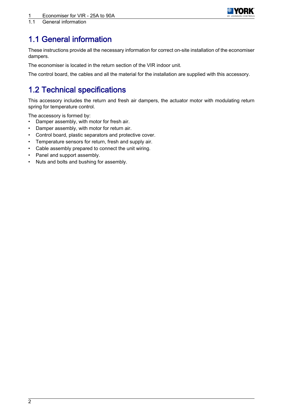

### <span id="page-3-0"></span>1.1 General information

These instructions provide all the necessary information for correct on-site installation of the economiser dampers.

The economiser is located in the return section of the VIR indoor unit.

The control board, the cables and all the material for the installation are supplied with this accessory.

### 1.2 Technical specifications

This accessory includes the return and fresh air dampers, the actuator motor with modulating return spring for temperature control.

The accessory is formed by:

- Damper assembly, with motor for fresh air.
- Damper assembly, with motor for return air.
- Control board, plastic separators and protective cover.
- Temperature sensors for return, fresh and supply air.
- Cable assembly prepared to connect the unit wiring.
- Panel and support assembly.
- Nuts and bolts and bushing for assembly.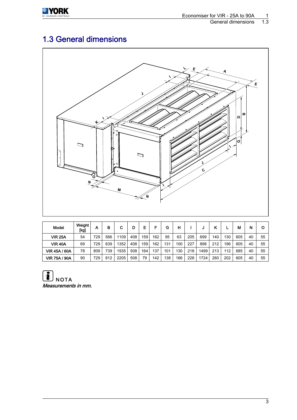<span id="page-4-0"></span>

### 1.3 General dimensions



| Model                | Weight<br>[kg] | А   | в   | С    | D   | E   |     | G   | н                |     |      |     |     | М   | N  | O  |
|----------------------|----------------|-----|-----|------|-----|-----|-----|-----|------------------|-----|------|-----|-----|-----|----|----|
| <b>VIR 25A</b>       | 54             | 729 | 566 | 1109 | 408 | 159 | 162 | 95  | 63               | 205 | 699  | 140 | 130 | 605 | 40 | 55 |
| <b>VIR 40A</b>       | 69             | 729 | 639 | 1352 | 408 | 159 | 162 | 131 | 100 <sub>1</sub> | 227 | 898  | 212 | 196 | 605 | 40 | 55 |
| <b>VIR 45A / 60A</b> | 78             | 809 | 739 | 1935 | 508 | 164 | 137 | 101 | 130              | 218 | 1499 | 213 | 112 | 685 | 40 | 55 |
| <b>VIR 75A / 90A</b> | 90             | 729 | 812 | 2205 | 508 | 79  | 142 | 138 | 166              | 228 | 1724 | 260 | 202 | 605 | 40 | 55 |

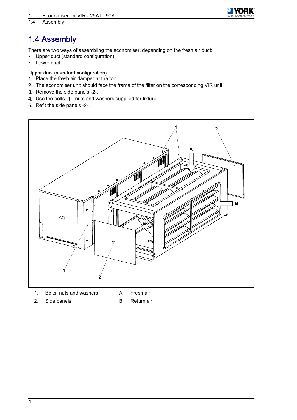

<span id="page-5-0"></span>Assembly

### 1.4 Assembly

There are two ways of assembling the economiser, depending on the fresh air duct:

- Upper duct (standard configuration)
- Lower duct

#### Upper duct (standard configuration)

- 1. Place the fresh air damper at the top.
- 2. The economiser unit should face the frame of the filter on the corresponding VIR unit.
- 3. Remove the side panels ‑2-.
- 4. Use the bolts ‑1-, nuts and washers supplied for fixture.
- 5. Refit the side panels ‑2-.



- 1. Bolts, nuts and washers A. Fresh air
- 
- 2. Side panels B. Return air
	-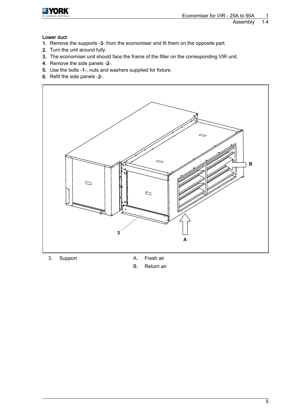

## **YORK**

#### Assembly 1.4

#### Lower duct

- 1. Remove the supports ‑3- from the economiser and fit them on the opposite part.
- 2. Turn the unit around fully.
- 3. The economiser unit should face the frame of the filter on the corresponding VIR unit.
- 4. Remove the side panels ‑2-.
- 5. Use the bolts ‑1-, nuts and washers supplied for fixture.
- 6. Refit the side panels ‑2-.



- 
- 3. Support A. Fresh air
	- B. Return air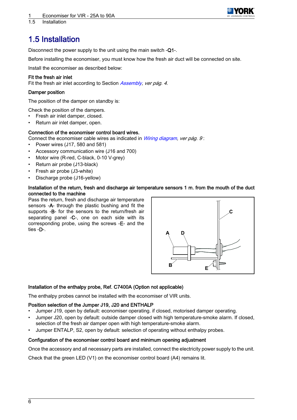

<span id="page-7-0"></span>1.5 Installation

### 1.5 Installation

Disconnect the power supply to the unit using the main switch -Q1-.

Before installing the economiser, you must know how the fresh air duct will be connected on site.

Install the economiser as described below:

#### Fit the fresh air inlet

Fit the fresh air inlet according to Section [Assembly](#page-5-0), ver pág. 4.

#### Damper position

The position of the damper on standby is:

Check the position of the dampers.

- Fresh air inlet damper, closed.
- Return air inlet damper, open.

#### Connection of the economiser control board wires.

- Connect the economiser cable wires as indicated in *[Wiring diagram](#page-10-0), ver pág. 9* :
- Power wires (J17, 580 and 581)
- Accessory communication wire (J16 and 700)
- Motor wire (R-red, C-black, 0-10 V-grey)
- Return air probe (J13-black)
- Fresh air probe (J3-white)
- Discharge probe (J16-yellow)

#### Installation of the return, fresh and discharge air temperature sensors 1 m. from the mouth of the duct connected to the machine

Pass the return, fresh and discharge air temperature sensors -A- through the plastic bushing and fit the supports ‑B- for the sensors to the return/fresh air separating panel -C-, one on each side with its corresponding probe, using the screws ‑E- and the ties ‑D-.



#### Installation of the enthalpy probe, Ref. C7400A (Option not applicable)

The enthalpy probes cannot be installed with the economiser of VIR units.

#### Position selection of the Jumper J19, J20 and ENTHALP

- Jumper J19, open by default: economiser operating. if closed, motorised damper operating.
- Jumper J20, open by default: outside damper closed with high temperature-smoke alarm. If closed, selection of the fresh air damper open with high temperature-smoke alarm.
- Jumper ENTALP, S2, open by default: selection of operating without enthalpy probes.

#### Configuration of the economiser control board and minimum opening adjustment

Once the accessory and all necessary parts are installed, connect the electricity power supply to the unit.

Check that the green LED (V1) on the economiser control board (A4) remains lit.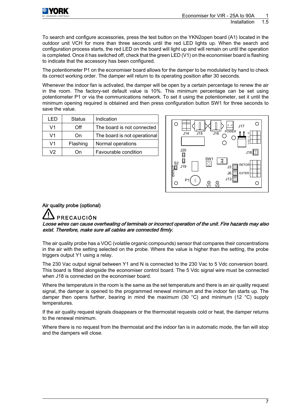

To search and configure accessories, press the test button on the YKN2open board (A1) located in the outdoor unit VCH for more than three seconds until the red LED lights up. When the search and configuration process starts, the red LED on the board will light up and will remain on until the operation is completed. Once it has switched off, check that the green LED (V1) on the economiser board is flashing to indicate that the accessory has been configured.

The potentiometer P1 on the economiser board allows for the damper to be modulated by hand to check its correct working order. The damper will return to its operating position after 30 seconds.

Whenever the indoor fan is activated, the damper will be open by a certain percentage to renew the air in the room. The factory-set default value is 10%. This minimum percentage can be set using potentiometer P1 or via the communications network. To set it using the potentiometer, set it until the minimum opening required is obtained and then press configuration button SW1 for three seconds to save the value.

| I ED           | <b>Status</b> | Indication                   |
|----------------|---------------|------------------------------|
| V1             | Off           | The board is not connected   |
| V <sub>1</sub> | On            | The board is not operational |
| V <sub>1</sub> | Flashing      | Normal operations            |
| V2             | Ωn            | Favourable condition         |



### Air quality probe (optional)

### PRECAUCIÓN

Loose wires can cause overheating of terminals or incorrect operation of the unit. Fire hazards may also exist. Therefore, make sure all cables are connected firmly.

The air quality probe has a VOC (volatile organic compounds) sensor that compares their concentrations in the air with the setting selected on the probe. Where the value is higher than the setting, the probe triggers output Y1 using a relay.

The 230 Vac output signal between Y1 and N is connected to the 230 Vac to 5 Vdc conversion board. This board is fitted alongside the economiser control board. The 5 Vdc signal wire must be connected when J18 is connected on the economiser board.

Where the temperature in the room is the same as the set temperature and there is an air quality request signal, the damper is opened to the programmed renewal minimum and the indoor fan starts up. The damper then opens further, bearing in mind the maximum (30 °C) and minimum (12 °C) supply temperatures.

If the air quality request signals disappears or the thermostat requests cold or heat, the damper returns to the renewal minimum.

Where there is no request from the thermostat and the indoor fan is in automatic mode, the fan will stop and the dampers will close.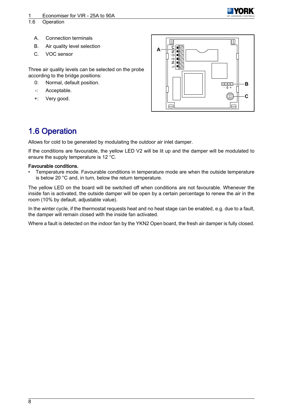

- <span id="page-9-0"></span>
- A. Connection terminals B. Air quality level selection
- C. VOC sensor

Three air quality levels can be selected on the probe according to the bridge positions:

- 0: Normal, default position.
- -: Acceptable.
- +: Very good.



### 1.6 Operation

Allows for cold to be generated by modulating the outdoor air inlet damper.

If the conditions are favourable, the yellow LED V2 will be lit up and the damper will be modulated to ensure the supply temperature is 12 °C.

#### Favourable conditions.

• Temperature mode. Favourable conditions in temperature mode are when the outside temperature is below 20 °C and, in turn, below the return temperature.

The yellow LED on the board will be switched off when conditions are not favourable. Whenever the inside fan is activated, the outside damper will be open by a certain percentage to renew the air in the room (10% by default, adjustable value).

In the winter cycle, if the thermostat requests heat and no heat stage can be enabled, e.g. due to a fault, the damper will remain closed with the inside fan activated.

Where a fault is detected on the indoor fan by the YKN2 Open board, the fresh air damper is fully closed.